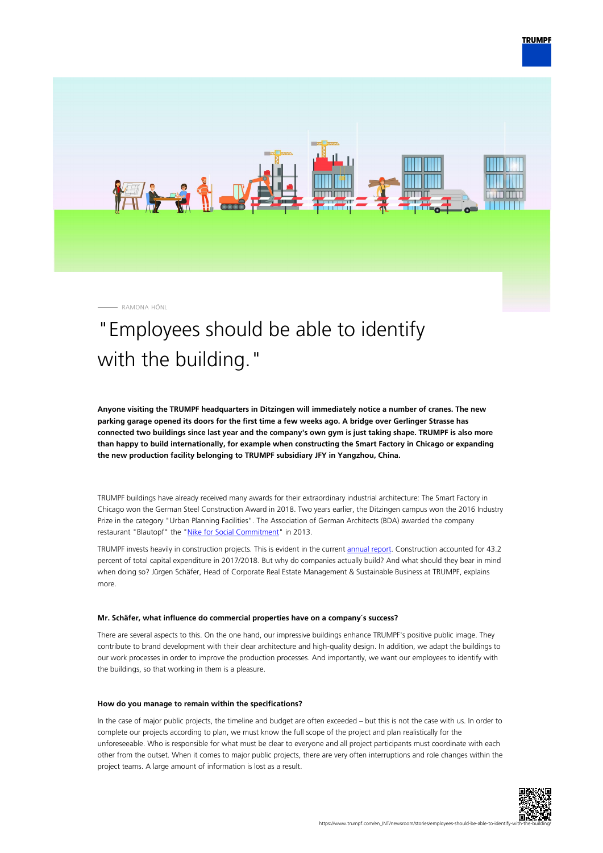

RAMONA HÖNL

# "Employees should be able to identify with the building."

**Anyone visiting the TRUMPF headquarters in Ditzingen will immediately notice a number of cranes. The new parking garage opened its doors for the first time a few weeks ago. A bridge over Gerlinger Strasse has connected two buildings since last year and the company's own gym is just taking shape. TRUMPF is also more than happy to build internationally, for example when constructing the Smart Factory in Chicago or expanding the new production facility belonging to TRUMPF subsidiary JFY in Yangzhou, China.**

TRUMPF buildings have already received many awards for their extraordinary industrial architecture: The Smart Factory in Chicago won the German Steel Construction Award in 2018. Two years earlier, the Ditzingen campus won the 2016 Industry Prize in the category "Urban Planning Facilities". The Association of German Architects (BDA) awarded the company restaurant "Blautopf" the ["Nike for Social Commitment"](https://bda-bawue.de/2013/06/bda-architekturpreis-nike-verliehen/) in 2013.

TRUMPF invests heavily in construction projects. This is evident in the current [annual report](https://www.trumpf.com/en_INT/company/trumpf-group/annual-report/). Construction accounted for 43.2 percent of total capital expenditure in 2017/2018. But why do companies actually build? And what should they bear in mind when doing so? Jürgen Schäfer, Head of Corporate Real Estate Management & Sustainable Business at TRUMPF, explains more.

#### **Mr. Schäfer, what influence do commercial properties have on a company´s success?**

There are several aspects to this. On the one hand, our impressive buildings enhance TRUMPF's positive public image. They contribute to brand development with their clear architecture and high-quality design. In addition, we adapt the buildings to our work processes in order to improve the production processes. And importantly, we want our employees to identify with the buildings, so that working in them is a pleasure.

#### **How do you manage to remain within the specifications?**

In the case of major public projects, the timeline and budget are often exceeded – but this is not the case with us. In order to complete our projects according to plan, we must know the full scope of the project and plan realistically for the unforeseeable. Who is responsible for what must be clear to everyone and all project participants must coordinate with each other from the outset. When it comes to major public projects, there are very often interruptions and role changes within the project teams. A large amount of information is lost as a result.

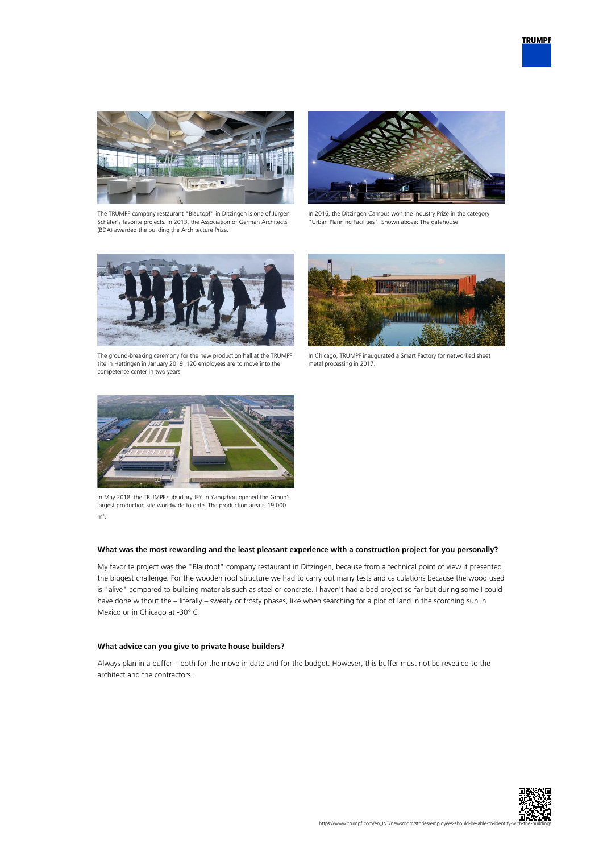



The TRUMPF company restaurant "Blautopf" in Ditzingen is one of Jürgen Schäfer's favorite projects. In 2013, the Association of German Architects (BDA) awarded the building the Architecture Prize.



In 2016, the Ditzingen Campus won the Industry Prize in the category "Urban Planning Facilities". Shown above: The gatehouse.



The ground-breaking ceremony for the new production hall at the TRUMPF site in Hettingen in January 2019. 120 employees are to move into the competence center in two years.



In Chicago, TRUMPF inaugurated a Smart Factory for networked sheet metal processing in 2017.



In May 2018, the TRUMPF subsidiary JFY in Yangzhou opened the Group's largest production site worldwide to date. The production area is 19,000  $m<sup>2</sup>$ .

### **What was the most rewarding and the least pleasant experience with a construction project for you personally?**

My favorite project was the "Blautopf" company restaurant in Ditzingen, because from a technical point of view it presented the biggest challenge. For the wooden roof structure we had to carry out many tests and calculations because the wood used is "alive" compared to building materials such as steel or concrete. I haven't had a bad project so far but during some I could have done without the – literally – sweaty or frosty phases, like when searching for a plot of land in the scorching sun in Mexico or in Chicago at -30° C.

## **What advice can you give to private house builders?**

Always plan in a buffer – both for the move-in date and for the budget. However, this buffer must not be revealed to the architect and the contractors.